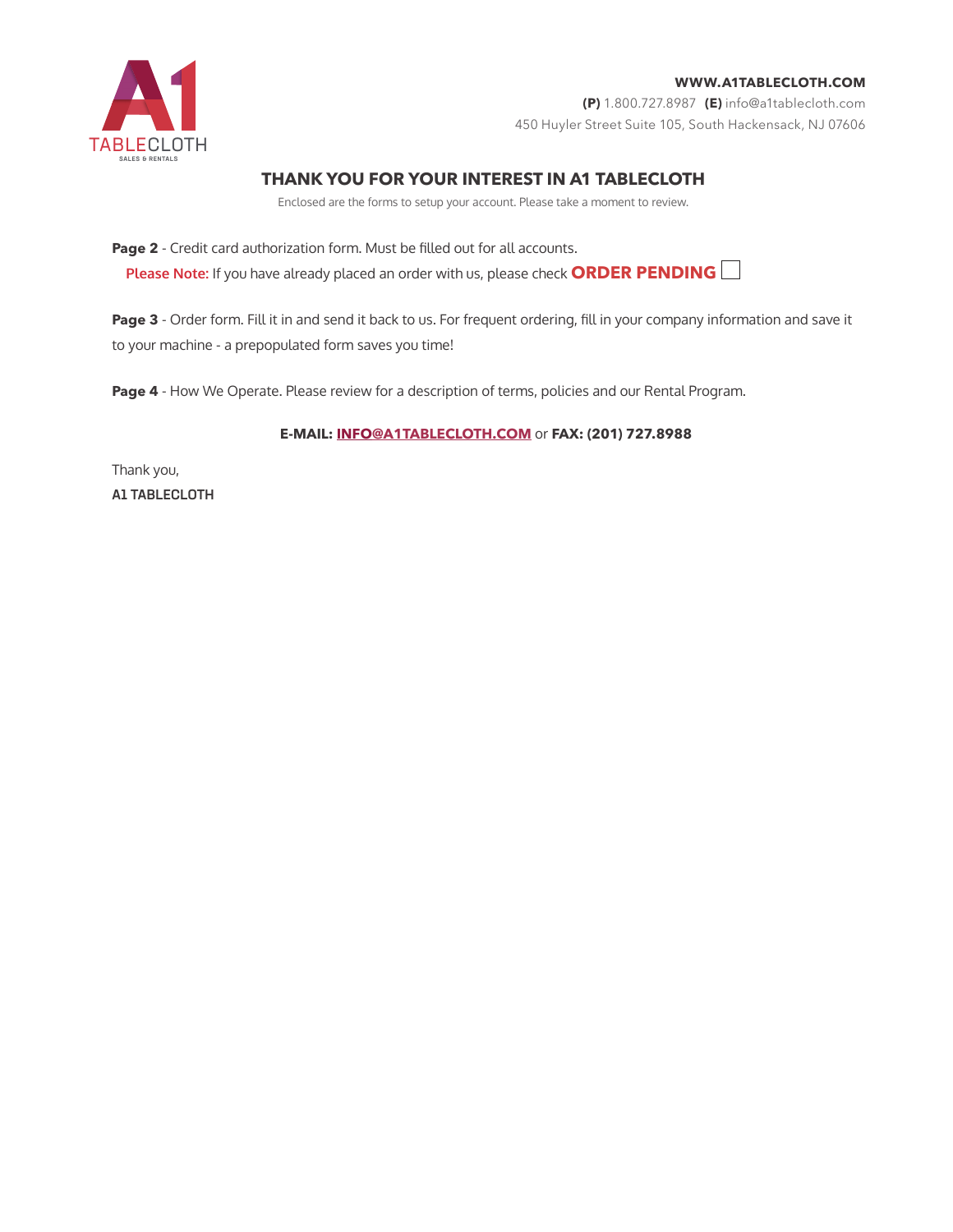

## **(P)** 1.800.727.8987 **(E)** info@a1tablecloth.com 450 Huyler Street Suite 105, South Hackensack, NJ 07606

# **THANK YOU FOR YOUR INTEREST IN A1 TABLECLOTH**

Enclosed are the forms to setup your account. Please take a moment to review.

**Page 2** - Credit card authorization form. Must be filled out for all accounts.

**Please Note:** If you have already placed an order with us, please check **ORDER PENDING**

Page 3 - Order form. Fill it in and send it back to us. For frequent ordering, fill in your company information and save it to your machine - a prepopulated form saves you time!

Page 4 - How We Operate. Please review for a description of terms, policies and our Rental Program.

### **E-MAIL: INFO@A1TABLECLOTH.COM** or **FAX: (201) 727.8988**

Thank you, A1 TABLECLOTH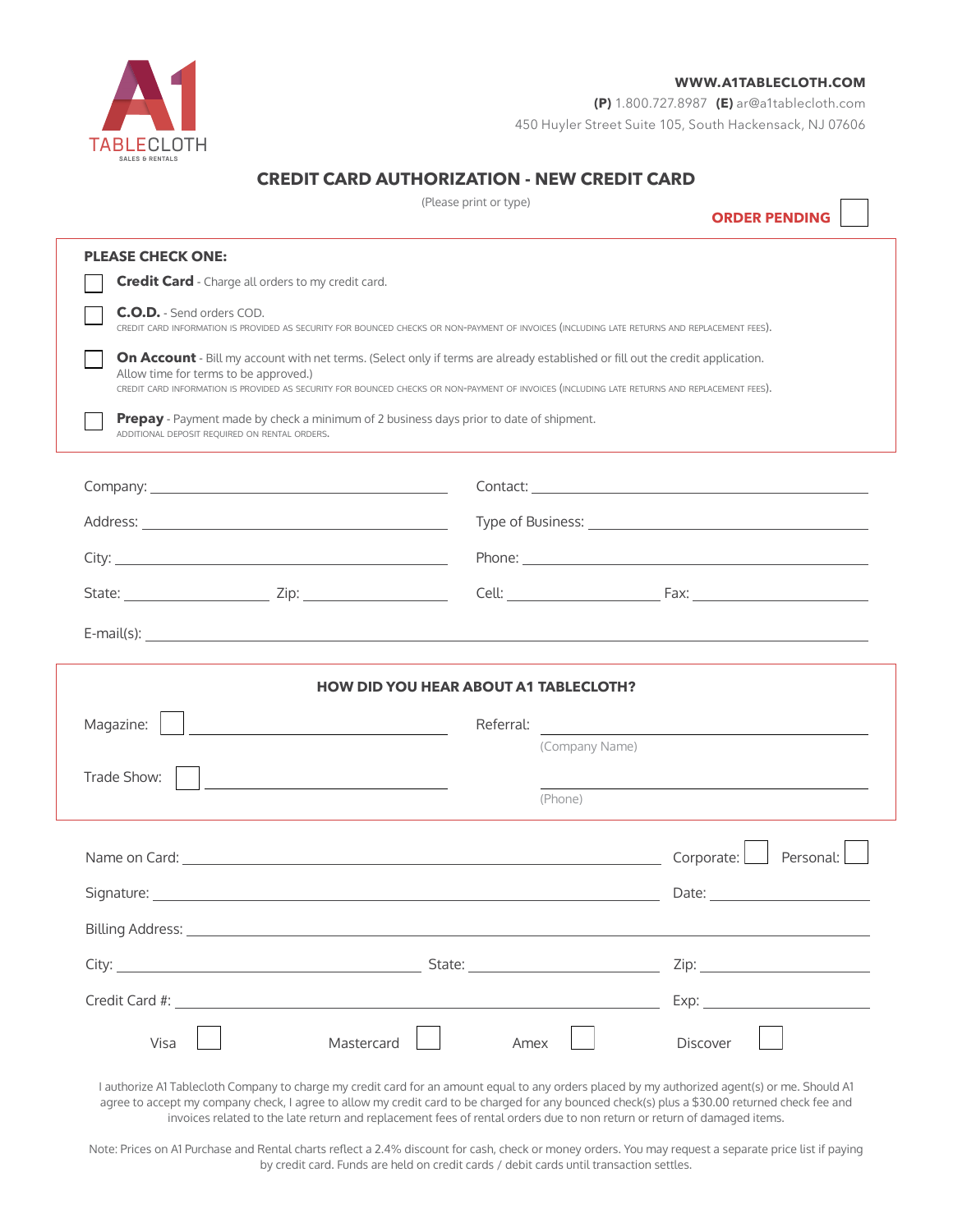

**(P)** 1.800.727.8987 **(E)** [ar@a1tablecloth.com](mailto:ar%40a1tablecloth.com%20?subject=) 450 Huyler Street Suite 105, South Hackensack, NJ 07606

## **CREDIT CARD AUTHORIZATION - NEW CREDIT CARD**

(Please print or type)

**ORDER PENDING**

| <b>PLEASE CHECK ONE:</b>                                                                                                                                                                                                                                                                                                                                                                              |                                                                                                                                                                                                                                                                                |
|-------------------------------------------------------------------------------------------------------------------------------------------------------------------------------------------------------------------------------------------------------------------------------------------------------------------------------------------------------------------------------------------------------|--------------------------------------------------------------------------------------------------------------------------------------------------------------------------------------------------------------------------------------------------------------------------------|
| <b>Credit Card</b> - Charge all orders to my credit card.                                                                                                                                                                                                                                                                                                                                             |                                                                                                                                                                                                                                                                                |
| <b>C.O.D.</b> - Send orders COD.                                                                                                                                                                                                                                                                                                                                                                      | CREDIT CARD INFORMATION IS PROVIDED AS SECURITY FOR BOUNCED CHECKS OR NON-PAYMENT OF INVOICES (INCLUDING LATE RETURNS AND REPLACEMENT FEES).                                                                                                                                   |
| Allow time for terms to be approved.)                                                                                                                                                                                                                                                                                                                                                                 | On Account - Bill my account with net terms. (Select only if terms are already established or fill out the credit application.<br>CREDIT CARD INFORMATION IS PROVIDED AS SECURITY FOR BOUNCED CHECKS OR NON-PAYMENT OF INVOICES (INCLUDING LATE RETURNS AND REPLACEMENT FEES). |
| Prepay - Payment made by check a minimum of 2 business days prior to date of shipment.<br>ADDITIONAL DEPOSIT REQUIRED ON RENTAL ORDERS.                                                                                                                                                                                                                                                               |                                                                                                                                                                                                                                                                                |
|                                                                                                                                                                                                                                                                                                                                                                                                       |                                                                                                                                                                                                                                                                                |
|                                                                                                                                                                                                                                                                                                                                                                                                       |                                                                                                                                                                                                                                                                                |
|                                                                                                                                                                                                                                                                                                                                                                                                       |                                                                                                                                                                                                                                                                                |
|                                                                                                                                                                                                                                                                                                                                                                                                       | Cell: <u>Cell: Example of Tax:</u> Eax: <u>Example of Tax: Cell: Example of Tax: Cell: Example of Tax: Cell: Example of Tax: Cell: Example of Tax: Cell: Example of Tax: Cell: Example of Tax: Cell: Example of Tax: Cell: Example of</u>                                      |
|                                                                                                                                                                                                                                                                                                                                                                                                       | $E$ -mail(s): $\qquad \qquad$                                                                                                                                                                                                                                                  |
|                                                                                                                                                                                                                                                                                                                                                                                                       | <b>HOW DID YOU HEAR ABOUT A1 TABLECLOTH?</b>                                                                                                                                                                                                                                   |
| <u> 1980 - John Stein, amerikansk politiker (</u><br>the control of the control of the control of the control of the control of                                                                                                                                                                                                                                                                       | Referral:<br><u> 1980 - John Stein, Amerikaansk politiker (</u><br>(Company Name)                                                                                                                                                                                              |
|                                                                                                                                                                                                                                                                                                                                                                                                       | (Phone)                                                                                                                                                                                                                                                                        |
|                                                                                                                                                                                                                                                                                                                                                                                                       | Corporate: Personal:<br>Name on Card: example, and the contract of the contract of the contract of the contract of the contract of the contract of the contract of the contract of the contract of the contract of the contract of the contract of the                         |
|                                                                                                                                                                                                                                                                                                                                                                                                       | Date: the contract of the contract of the contract of the contract of the contract of the contract of the contract of the contract of the contract of the contract of the contract of the contract of the contract of the cont                                                 |
|                                                                                                                                                                                                                                                                                                                                                                                                       |                                                                                                                                                                                                                                                                                |
|                                                                                                                                                                                                                                                                                                                                                                                                       | <u> State: State: State: State: State: State: State: State: State: State: State: State: State: State: State: State: State: State: State: State: State: State: State: State: State: State: State: State: State: State: State: Sta</u>                                           |
| Magazine:<br>Trade Show:<br>Signature: the contract of the contract of the contract of the contract of the contract of the contract of the contract of the contract of the contract of the contract of the contract of the contract of the contract of the<br>Billing Address: North American State of the American State of the American State of the American State of the<br>Credit Card #: ______ | Zip:<br>Exp:                                                                                                                                                                                                                                                                   |

invoices related to the late return and replacement fees of rental orders due to non return or return of damaged items.

Note: Prices on A1 Purchase and Rental charts reflect a 2.4% discount for cash, check or money orders. You may request a separate price list if paying by credit card. Funds are held on credit cards / debit cards until transaction settles.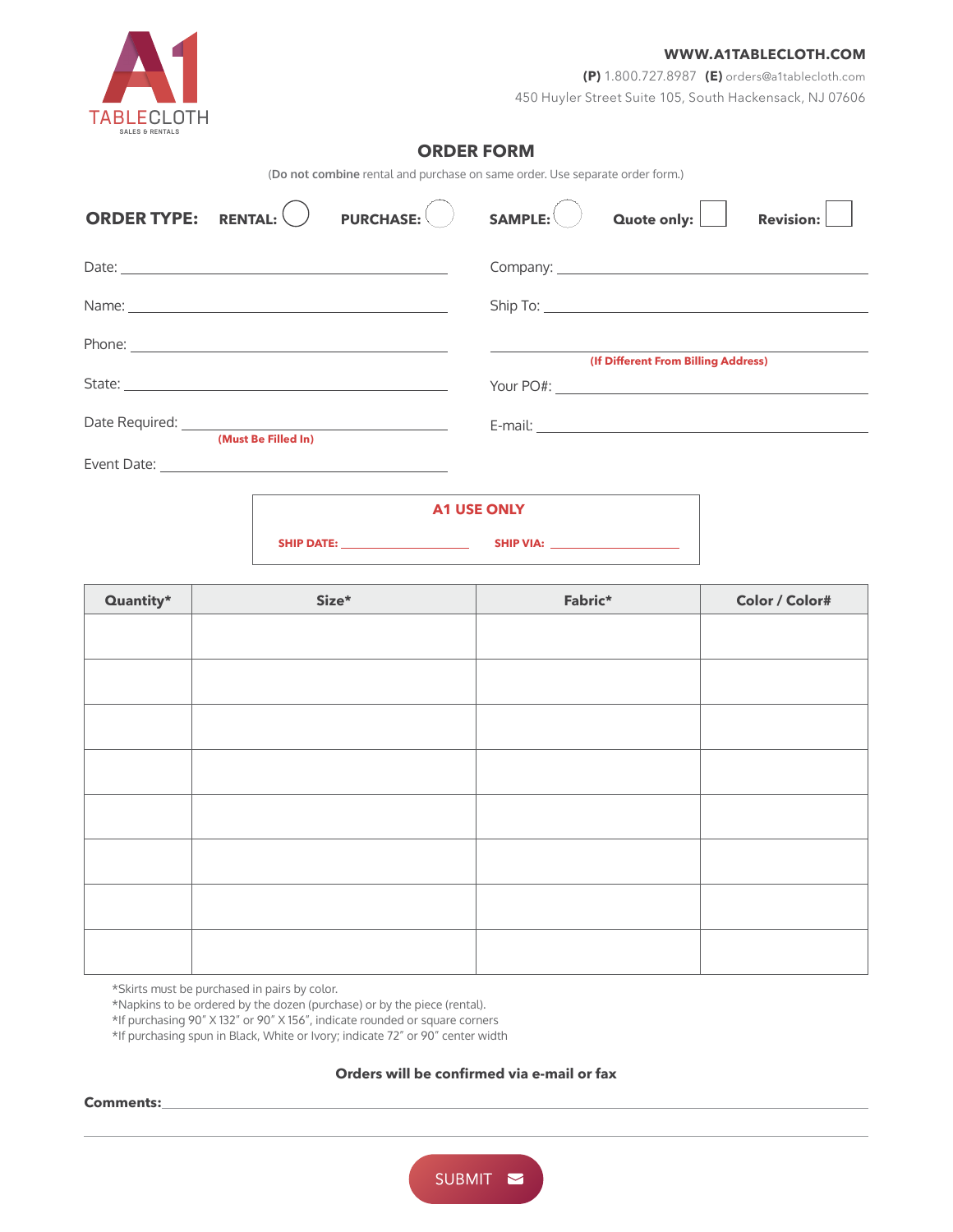

**(P)** 1.800.727.8987 **(E)** [orders@a1tablecloth.com](mailto:orders%40a1tablecloth.com?subject=) 450 Huyler Street Suite 105, South Hackensack, NJ 07606

## **ORDER FORM**

(**Do not combine** rental and purchase on same order. Use separate order form.)

| <b>ORDER TYPE:</b>                                                                                                                                                                                                                   | <b>RENTAL:</b>      | <b>PURCHASE:</b> | SAMPLE: | Quote only: [                       | <b>Revision:</b> |
|--------------------------------------------------------------------------------------------------------------------------------------------------------------------------------------------------------------------------------------|---------------------|------------------|---------|-------------------------------------|------------------|
|                                                                                                                                                                                                                                      |                     |                  |         |                                     |                  |
|                                                                                                                                                                                                                                      |                     |                  |         |                                     |                  |
|                                                                                                                                                                                                                                      |                     |                  |         | (If Different From Billing Address) |                  |
|                                                                                                                                                                                                                                      |                     |                  |         |                                     |                  |
| Date Required: <u>contract and a series of the series of the series of the series of the series of the series of the series of the series of the series of the series of the series of the series of the series of the series of</u> | (Must Be Filled In) |                  |         |                                     |                  |
|                                                                                                                                                                                                                                      |                     |                  |         |                                     |                  |
|                                                                                                                                                                                                                                      |                     | .                |         |                                     |                  |

| <b>A1 USE ONLY</b> |                  |  |  |  |
|--------------------|------------------|--|--|--|
| <b>SHIP DATE:</b>  | <b>SHIP VIA:</b> |  |  |  |

| $\alpha$ uantity* | Size* | Fabric* | Color / Color# |
|-------------------|-------|---------|----------------|
|                   |       |         |                |
|                   |       |         |                |
|                   |       |         |                |
|                   |       |         |                |
|                   |       |         |                |
|                   |       |         |                |
|                   |       |         |                |
|                   |       |         |                |
|                   |       |         |                |
|                   |       |         |                |
|                   |       |         |                |
|                   |       |         |                |
|                   |       |         |                |
|                   |       |         |                |

\*Skirts must be purchased in pairs by color.

\*Napkins to be ordered by the dozen (purchase) or by the piece (rental).

\*If purchasing 90" X 132" or 90" X 156", indicate rounded or square corners

\*If purchasing spun in Black, White or Ivory; indicate 72" or 90" center width

### **Orders will be confirmed via e-mail or fax**

#### **Comments:**